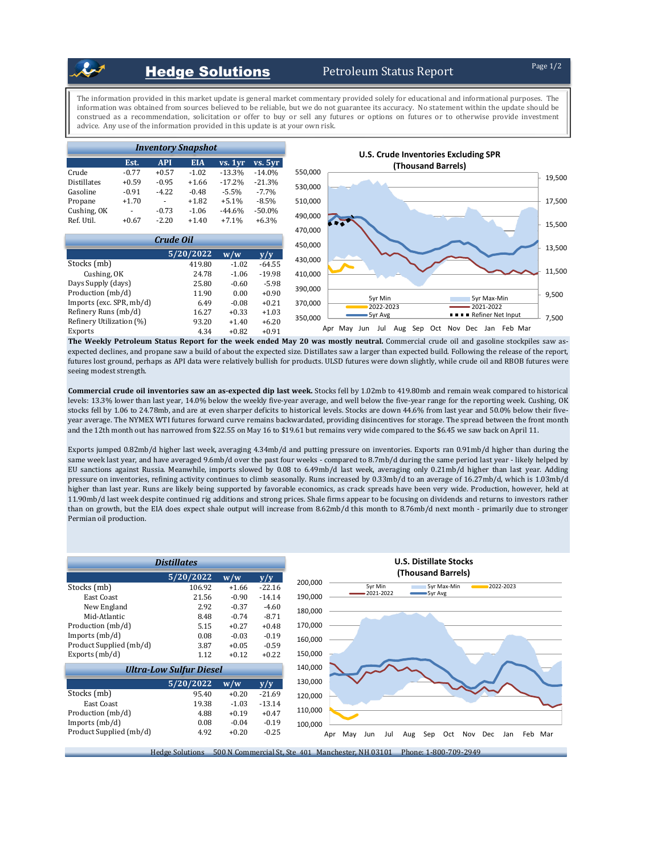## **Hedge Solutions** Petroleum Status Report

The information provided in this market update is general market commentary provided solely for educational and informational purposes. The information was obtained from sources believed to be reliable, but we do not guarantee its accuracy. No statement within the update should be construed as a recommendation, solicitation or offer to buy or sell any futures or options on futures or to otherwise provide investment advice. Any use of the information provided in this update is at your own risk.



The Weekly Petroleum Status Report for the week ended May 20 was mostly neutral. Commercial crude oil and gasoline stockpiles saw asexpected declines, and propane saw a build of about the expected size. Distillates saw a larger than expected build. Following the release of the report, futures lost ground, perhaps as API data were relatively bullish for products. ULSD futures were down slightly, while crude oil and RBOB futures were seeing modest strength.

**Commercial crude oil inventories saw an as-expected dip last week.** Stocks fell by 1.02mb to 419.80mb and remain weak compared to historical levels: 13.3% lower than last year, 14.0% below the weekly five-year average, and well below the five-year range for the reporting week. Cushing, OK stocks fell by 1.06 to 24.78mb, and are at even sharper deficits to historical levels. Stocks are down 44.6% from last year and 50.0% below their fiveyear average. The NYMEX WTI futures forward curve remains backwardated, providing disincentives for storage. The spread between the front month and the 12th month out has narrowed from \$22.55 on May 16 to \$19.61 but remains very wide compared to the \$6.45 we saw back on April 11.

Exports jumped 0.82mb/d higher last week, averaging 4.34mb/d and putting pressure on inventories. Exports ran 0.91mb/d higher than during the same week last year, and have averaged 9.6mb/d over the past four weeks - compared to 8.7mb/d during the same period last year - likely helped by EU sanctions against Russia. Meanwhile, imports slowed by 0.08 to 6.49mb/d last week, averaging only 0.21mb/d higher than last year. Adding pressure on inventories, refining activity continues to climb seasonally. Runs increased by 0.33mb/d to an average of 16.27mb/d, which is 1.03mb/d higher than last year. Runs are likely being supported by favorable economics, as crack spreads have been very wide. Production, however, held at 11.90mb/d last week despite continued rig additions and strong prices. Shale firms appear to be focusing on dividends and returns to investors rather than on growth, but the EIA does expect shale output will increase from 8.62mb/d this month to 8.76mb/d next month - primarily due to stronger Permian oil production.



Hedge Solutions 500 N Commercial St, Ste 401 Manchester, NH 03101 Phone: 1-800-709-2949